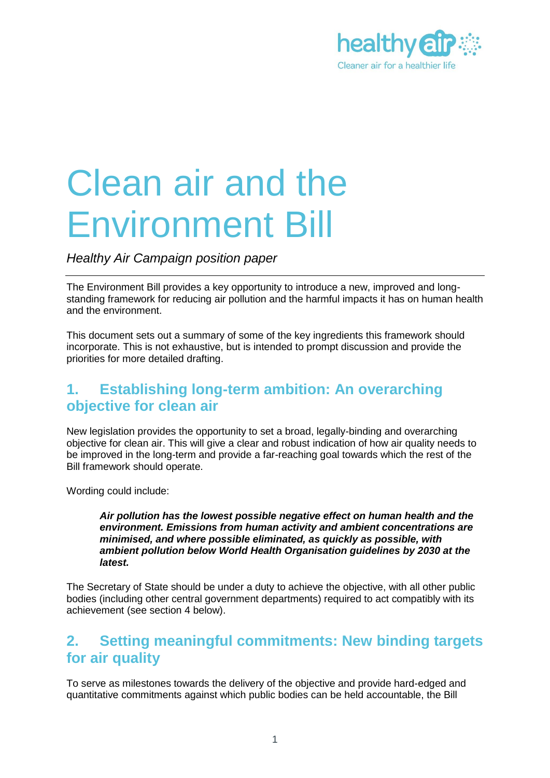

# Clean air and the Environment Bill

*Healthy Air Campaign position paper*

The Environment Bill provides a key opportunity to introduce a new, improved and longstanding framework for reducing air pollution and the harmful impacts it has on human health and the environment.

This document sets out a summary of some of the key ingredients this framework should incorporate. This is not exhaustive, but is intended to prompt discussion and provide the priorities for more detailed drafting.

### **1. Establishing long-term ambition: An overarching objective for clean air**

New legislation provides the opportunity to set a broad, legally-binding and overarching objective for clean air. This will give a clear and robust indication of how air quality needs to be improved in the long-term and provide a far-reaching goal towards which the rest of the Bill framework should operate.

Wording could include:

*Air pollution has the lowest possible negative effect on human health and the environment. Emissions from human activity and ambient concentrations are minimised, and where possible eliminated, as quickly as possible, with ambient pollution below World Health Organisation guidelines by 2030 at the latest.*

The Secretary of State should be under a duty to achieve the objective, with all other public bodies (including other central government departments) required to act compatibly with its achievement (see section 4 below).

### **2. Setting meaningful commitments: New binding targets for air quality**

To serve as milestones towards the delivery of the objective and provide hard-edged and quantitative commitments against which public bodies can be held accountable, the Bill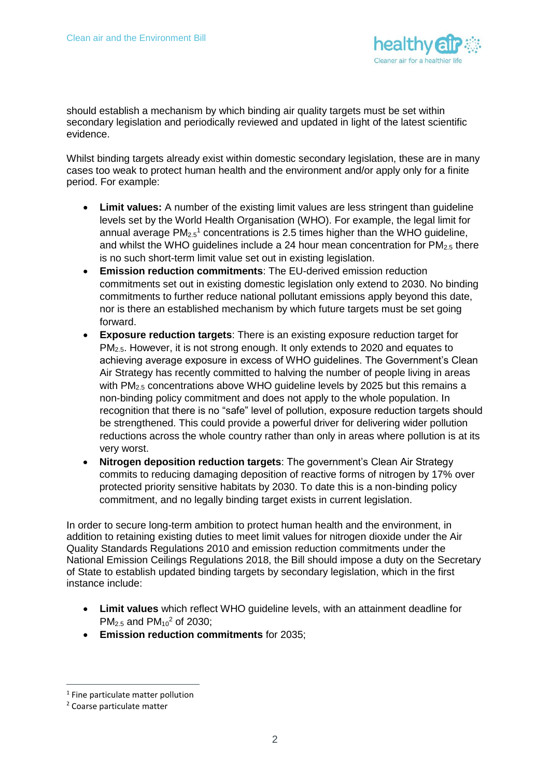

should establish a mechanism by which binding air quality targets must be set within secondary legislation and periodically reviewed and updated in light of the latest scientific evidence.

Whilst binding targets already exist within domestic secondary legislation, these are in many cases too weak to protect human health and the environment and/or apply only for a finite period. For example:

- **Limit values:** A number of the existing limit values are less stringent than guideline levels set by the World Health Organisation (WHO). For example, the legal limit for annual average  $PM_{2.5}$ <sup>1</sup> concentrations is 2.5 times higher than the WHO guideline, and whilst the WHO quidelines include a 24 hour mean concentration for  $PM_{2.5}$  there is no such short-term limit value set out in existing legislation.
- **Emission reduction commitments**: The EU-derived emission reduction commitments set out in existing domestic legislation only extend to 2030. No binding commitments to further reduce national pollutant emissions apply beyond this date, nor is there an established mechanism by which future targets must be set going forward.
- **Exposure reduction targets**: There is an existing exposure reduction target for PM<sub>2.5</sub>. However, it is not strong enough. It only extends to 2020 and equates to achieving average exposure in excess of WHO guidelines. The Government's Clean Air Strategy has recently committed to halving the number of people living in areas with PM<sub>2.5</sub> concentrations above WHO guideline levels by 2025 but this remains a non-binding policy commitment and does not apply to the whole population. In recognition that there is no "safe" level of pollution, exposure reduction targets should be strengthened. This could provide a powerful driver for delivering wider pollution reductions across the whole country rather than only in areas where pollution is at its very worst.
- **Nitrogen deposition reduction targets**: The government's Clean Air Strategy commits to reducing damaging deposition of reactive forms of nitrogen by 17% over protected priority sensitive habitats by 2030. To date this is a non-binding policy commitment, and no legally binding target exists in current legislation.

In order to secure long-term ambition to protect human health and the environment, in addition to retaining existing duties to meet limit values for nitrogen dioxide under the Air Quality Standards Regulations 2010 and emission reduction commitments under the National Emission Ceilings Regulations 2018, the Bill should impose a duty on the Secretary of State to establish updated binding targets by secondary legislation, which in the first instance include:

- **Limit values** which reflect WHO guideline levels, with an attainment deadline for  $PM_{2.5}$  and  $PM_{10}^2$  of 2030;
- **Emission reduction commitments** for 2035;

 $\overline{a}$ 

<sup>&</sup>lt;sup>1</sup> Fine particulate matter pollution

<sup>2</sup> Coarse particulate matter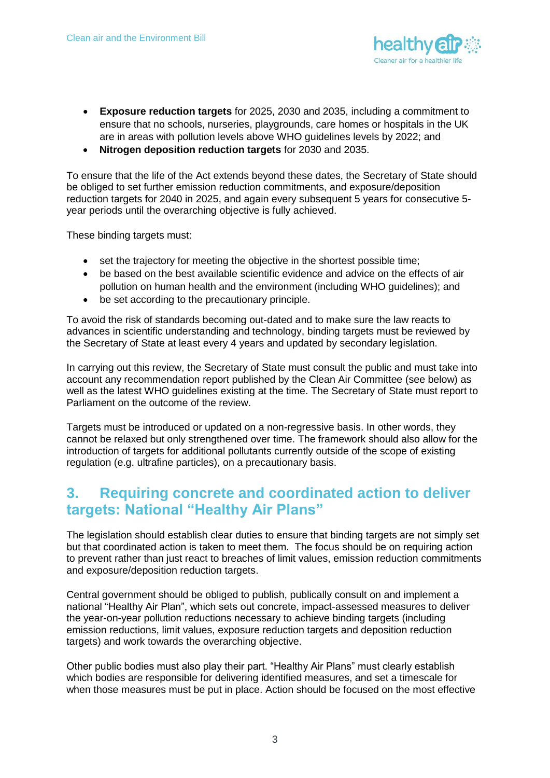

- **Exposure reduction targets** for 2025, 2030 and 2035, including a commitment to ensure that no schools, nurseries, playgrounds, care homes or hospitals in the UK are in areas with pollution levels above WHO guidelines levels by 2022; and
- **Nitrogen deposition reduction targets** for 2030 and 2035.

To ensure that the life of the Act extends beyond these dates, the Secretary of State should be obliged to set further emission reduction commitments, and exposure/deposition reduction targets for 2040 in 2025, and again every subsequent 5 years for consecutive 5 year periods until the overarching objective is fully achieved.

These binding targets must:

- set the trajectory for meeting the objective in the shortest possible time;
- be based on the best available scientific evidence and advice on the effects of air pollution on human health and the environment (including WHO guidelines); and
- be set according to the precautionary principle.

To avoid the risk of standards becoming out-dated and to make sure the law reacts to advances in scientific understanding and technology, binding targets must be reviewed by the Secretary of State at least every 4 years and updated by secondary legislation.

In carrying out this review, the Secretary of State must consult the public and must take into account any recommendation report published by the Clean Air Committee (see below) as well as the latest WHO guidelines existing at the time. The Secretary of State must report to Parliament on the outcome of the review.

Targets must be introduced or updated on a non-regressive basis. In other words, they cannot be relaxed but only strengthened over time. The framework should also allow for the introduction of targets for additional pollutants currently outside of the scope of existing regulation (e.g. ultrafine particles), on a precautionary basis.

## **3. Requiring concrete and coordinated action to deliver targets: National "Healthy Air Plans"**

The legislation should establish clear duties to ensure that binding targets are not simply set but that coordinated action is taken to meet them. The focus should be on requiring action to prevent rather than just react to breaches of limit values, emission reduction commitments and exposure/deposition reduction targets.

Central government should be obliged to publish, publically consult on and implement a national "Healthy Air Plan", which sets out concrete, impact-assessed measures to deliver the year-on-year pollution reductions necessary to achieve binding targets (including emission reductions, limit values, exposure reduction targets and deposition reduction targets) and work towards the overarching objective.

Other public bodies must also play their part. "Healthy Air Plans" must clearly establish which bodies are responsible for delivering identified measures, and set a timescale for when those measures must be put in place. Action should be focused on the most effective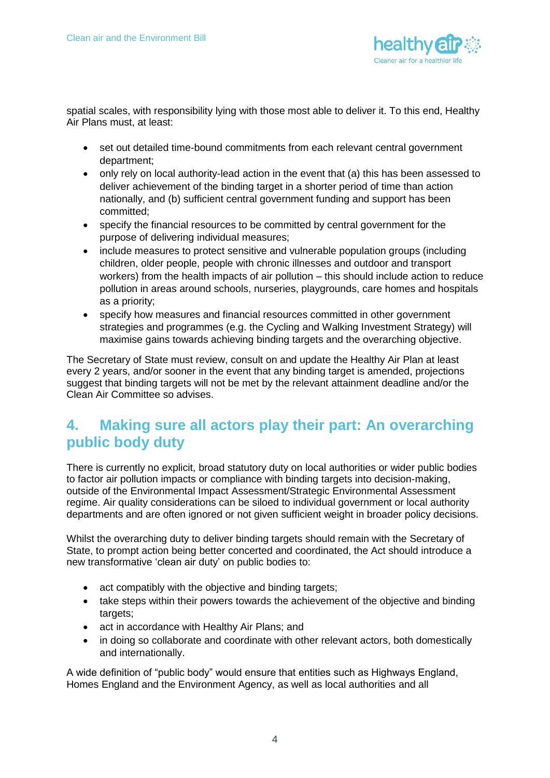

spatial scales, with responsibility lying with those most able to deliver it. To this end, Healthy Air Plans must, at least:

- set out detailed time-bound commitments from each relevant central government department;
- only rely on local authority-lead action in the event that (a) this has been assessed to deliver achievement of the binding target in a shorter period of time than action nationally, and (b) sufficient central government funding and support has been committed;
- specify the financial resources to be committed by central government for the purpose of delivering individual measures;
- include measures to protect sensitive and vulnerable population groups (including children, older people, people with chronic illnesses and outdoor and transport workers) from the health impacts of air pollution – this should include action to reduce pollution in areas around schools, nurseries, playgrounds, care homes and hospitals as a priority;
- specify how measures and financial resources committed in other government strategies and programmes (e.g. the Cycling and Walking Investment Strategy) will maximise gains towards achieving binding targets and the overarching objective.

The Secretary of State must review, consult on and update the Healthy Air Plan at least every 2 years, and/or sooner in the event that any binding target is amended, projections suggest that binding targets will not be met by the relevant attainment deadline and/or the Clean Air Committee so advises.

### **4. Making sure all actors play their part: An overarching public body duty**

There is currently no explicit, broad statutory duty on local authorities or wider public bodies to factor air pollution impacts or compliance with binding targets into decision-making, outside of the Environmental Impact Assessment/Strategic Environmental Assessment regime. Air quality considerations can be siloed to individual government or local authority departments and are often ignored or not given sufficient weight in broader policy decisions.

Whilst the overarching duty to deliver binding targets should remain with the Secretary of State, to prompt action being better concerted and coordinated, the Act should introduce a new transformative 'clean air duty' on public bodies to:

- act compatibly with the objective and binding targets;
- take steps within their powers towards the achievement of the objective and binding targets:
- act in accordance with Healthy Air Plans; and
- in doing so collaborate and coordinate with other relevant actors, both domestically and internationally.

A wide definition of "public body" would ensure that entities such as Highways England, Homes England and the Environment Agency, as well as local authorities and all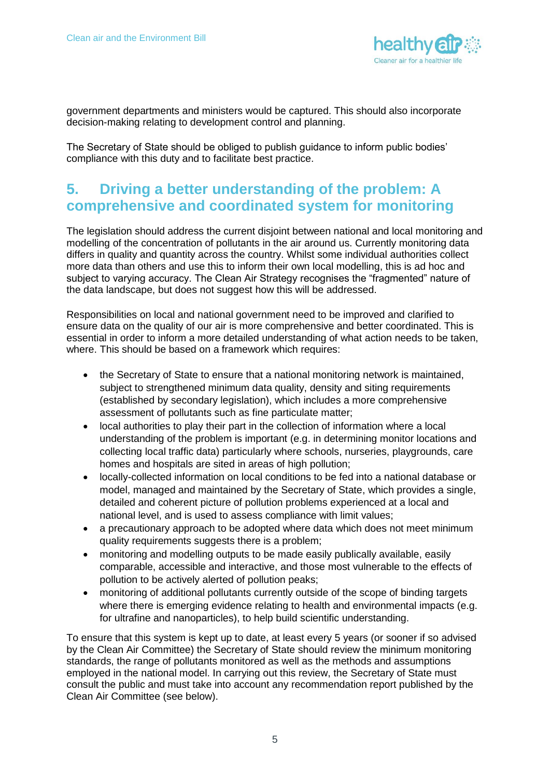

government departments and ministers would be captured. This should also incorporate decision-making relating to development control and planning.

The Secretary of State should be obliged to publish guidance to inform public bodies' compliance with this duty and to facilitate best practice.

## **5. Driving a better understanding of the problem: A comprehensive and coordinated system for monitoring**

The legislation should address the current disjoint between national and local monitoring and modelling of the concentration of pollutants in the air around us. Currently monitoring data differs in quality and quantity across the country. Whilst some individual authorities collect more data than others and use this to inform their own local modelling, this is ad hoc and subject to varying accuracy. The Clean Air Strategy recognises the "fragmented" nature of the data landscape, but does not suggest how this will be addressed.

Responsibilities on local and national government need to be improved and clarified to ensure data on the quality of our air is more comprehensive and better coordinated. This is essential in order to inform a more detailed understanding of what action needs to be taken, where. This should be based on a framework which requires:

- the Secretary of State to ensure that a national monitoring network is maintained, subject to strengthened minimum data quality, density and siting requirements (established by secondary legislation), which includes a more comprehensive assessment of pollutants such as fine particulate matter;
- local authorities to play their part in the collection of information where a local understanding of the problem is important (e.g. in determining monitor locations and collecting local traffic data) particularly where schools, nurseries, playgrounds, care homes and hospitals are sited in areas of high pollution;
- locally-collected information on local conditions to be fed into a national database or model, managed and maintained by the Secretary of State, which provides a single, detailed and coherent picture of pollution problems experienced at a local and national level, and is used to assess compliance with limit values;
- a precautionary approach to be adopted where data which does not meet minimum quality requirements suggests there is a problem;
- monitoring and modelling outputs to be made easily publically available, easily comparable, accessible and interactive, and those most vulnerable to the effects of pollution to be actively alerted of pollution peaks;
- monitoring of additional pollutants currently outside of the scope of binding targets where there is emerging evidence relating to health and environmental impacts (e.g. for ultrafine and nanoparticles), to help build scientific understanding.

To ensure that this system is kept up to date, at least every 5 years (or sooner if so advised by the Clean Air Committee) the Secretary of State should review the minimum monitoring standards, the range of pollutants monitored as well as the methods and assumptions employed in the national model. In carrying out this review, the Secretary of State must consult the public and must take into account any recommendation report published by the Clean Air Committee (see below).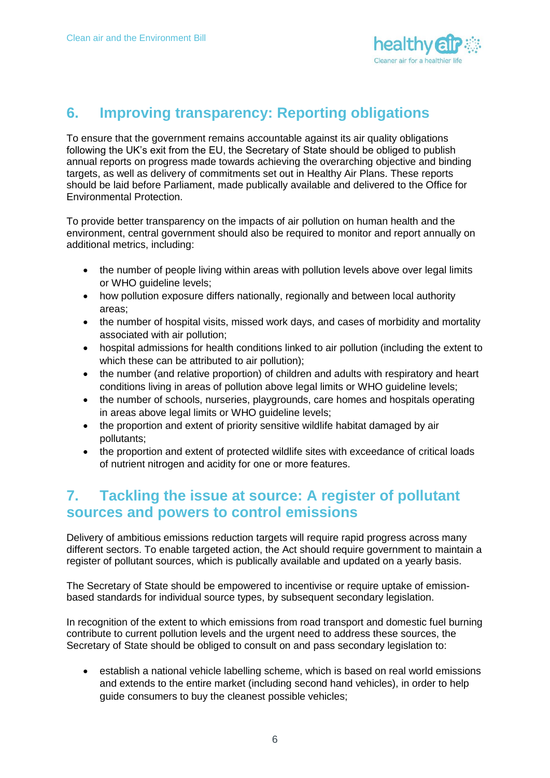

## **6. Improving transparency: Reporting obligations**

To ensure that the government remains accountable against its air quality obligations following the UK's exit from the EU, the Secretary of State should be obliged to publish annual reports on progress made towards achieving the overarching objective and binding targets, as well as delivery of commitments set out in Healthy Air Plans. These reports should be laid before Parliament, made publically available and delivered to the Office for Environmental Protection.

To provide better transparency on the impacts of air pollution on human health and the environment, central government should also be required to monitor and report annually on additional metrics, including:

- the number of people living within areas with pollution levels above over legal limits or WHO guideline levels;
- how pollution exposure differs nationally, regionally and between local authority areas;
- the number of hospital visits, missed work days, and cases of morbidity and mortality associated with air pollution;
- hospital admissions for health conditions linked to air pollution (including the extent to which these can be attributed to air pollution);
- the number (and relative proportion) of children and adults with respiratory and heart conditions living in areas of pollution above legal limits or WHO guideline levels;
- the number of schools, nurseries, playgrounds, care homes and hospitals operating in areas above legal limits or WHO guideline levels;
- the proportion and extent of priority sensitive wildlife habitat damaged by air pollutants;
- the proportion and extent of protected wildlife sites with exceedance of critical loads of nutrient nitrogen and acidity for one or more features.

### **7. Tackling the issue at source: A register of pollutant sources and powers to control emissions**

Delivery of ambitious emissions reduction targets will require rapid progress across many different sectors. To enable targeted action, the Act should require government to maintain a register of pollutant sources, which is publically available and updated on a yearly basis.

The Secretary of State should be empowered to incentivise or require uptake of emissionbased standards for individual source types, by subsequent secondary legislation.

In recognition of the extent to which emissions from road transport and domestic fuel burning contribute to current pollution levels and the urgent need to address these sources, the Secretary of State should be obliged to consult on and pass secondary legislation to:

 establish a national vehicle labelling scheme, which is based on real world emissions and extends to the entire market (including second hand vehicles), in order to help guide consumers to buy the cleanest possible vehicles;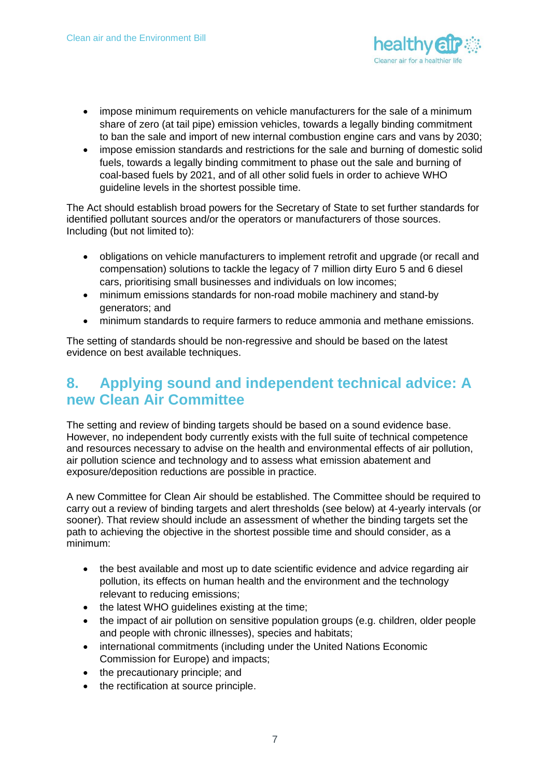

- impose minimum requirements on vehicle manufacturers for the sale of a minimum share of zero (at tail pipe) emission vehicles, towards a legally binding commitment to ban the sale and import of new internal combustion engine cars and vans by 2030;
- impose emission standards and restrictions for the sale and burning of domestic solid fuels, towards a legally binding commitment to phase out the sale and burning of coal-based fuels by 2021, and of all other solid fuels in order to achieve WHO guideline levels in the shortest possible time.

The Act should establish broad powers for the Secretary of State to set further standards for identified pollutant sources and/or the operators or manufacturers of those sources. Including (but not limited to):

- obligations on vehicle manufacturers to implement retrofit and upgrade (or recall and compensation) solutions to tackle the legacy of 7 million dirty Euro 5 and 6 diesel cars, prioritising small businesses and individuals on low incomes;
- minimum emissions standards for non-road mobile machinery and stand-by generators; and
- minimum standards to require farmers to reduce ammonia and methane emissions.

The setting of standards should be non-regressive and should be based on the latest evidence on best available techniques.

## **8. Applying sound and independent technical advice: A new Clean Air Committee**

The setting and review of binding targets should be based on a sound evidence base. However, no independent body currently exists with the full suite of technical competence and resources necessary to advise on the health and environmental effects of air pollution, air pollution science and technology and to assess what emission abatement and exposure/deposition reductions are possible in practice.

A new Committee for Clean Air should be established. The Committee should be required to carry out a review of binding targets and alert thresholds (see below) at 4-yearly intervals (or sooner). That review should include an assessment of whether the binding targets set the path to achieving the objective in the shortest possible time and should consider, as a minimum:

- the best available and most up to date scientific evidence and advice regarding air pollution, its effects on human health and the environment and the technology relevant to reducing emissions;
- the latest WHO guidelines existing at the time;
- the impact of air pollution on sensitive population groups (e.g. children, older people and people with chronic illnesses), species and habitats;
- international commitments (including under the United Nations Economic Commission for Europe) and impacts;
- the precautionary principle; and
- the rectification at source principle.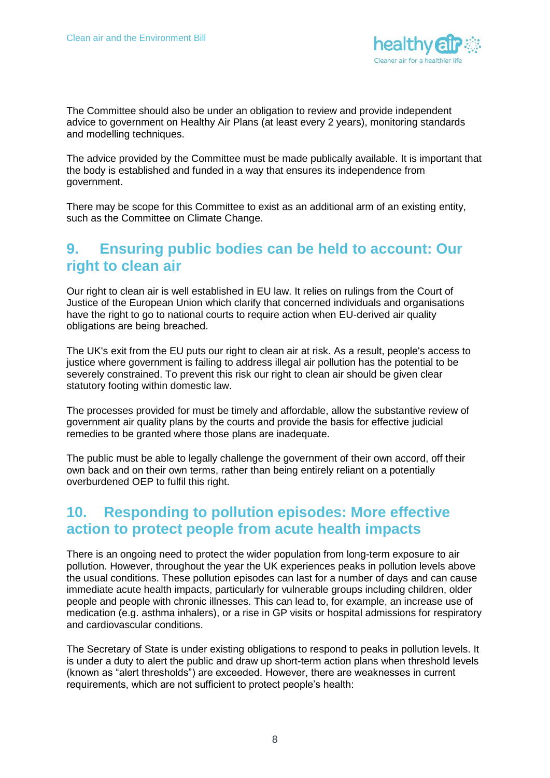

The Committee should also be under an obligation to review and provide independent advice to government on Healthy Air Plans (at least every 2 years), monitoring standards and modelling techniques.

The advice provided by the Committee must be made publically available. It is important that the body is established and funded in a way that ensures its independence from government.

There may be scope for this Committee to exist as an additional arm of an existing entity, such as the Committee on Climate Change.

### **9. Ensuring public bodies can be held to account: Our right to clean air**

Our right to clean air is well established in EU law. It relies on rulings from the Court of Justice of the European Union which clarify that concerned individuals and organisations have the right to go to national courts to require action when EU-derived air quality obligations are being breached.

The UK's exit from the EU puts our right to clean air at risk. As a result, people's access to justice where government is failing to address illegal air pollution has the potential to be severely constrained. To prevent this risk our right to clean air should be given clear statutory footing within domestic law.

The processes provided for must be timely and affordable, allow the substantive review of government air quality plans by the courts and provide the basis for effective judicial remedies to be granted where those plans are inadequate.

The public must be able to legally challenge the government of their own accord, off their own back and on their own terms, rather than being entirely reliant on a potentially overburdened OEP to fulfil this right.

## **10. Responding to pollution episodes: More effective action to protect people from acute health impacts**

There is an ongoing need to protect the wider population from long-term exposure to air pollution. However, throughout the year the UK experiences peaks in pollution levels above the usual conditions. These pollution episodes can last for a number of days and can cause immediate acute health impacts, particularly for vulnerable groups including children, older people and people with chronic illnesses. This can lead to, for example, an increase use of medication (e.g. asthma inhalers), or a rise in GP visits or hospital admissions for respiratory and cardiovascular conditions.

The Secretary of State is under existing obligations to respond to peaks in pollution levels. It is under a duty to alert the public and draw up short-term action plans when threshold levels (known as "alert thresholds") are exceeded. However, there are weaknesses in current requirements, which are not sufficient to protect people's health: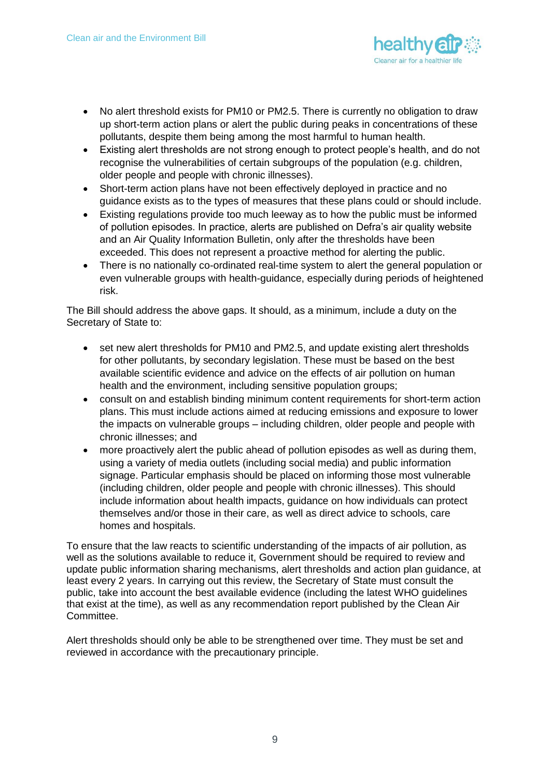

- No alert threshold exists for PM10 or PM2.5. There is currently no obligation to draw up short-term action plans or alert the public during peaks in concentrations of these pollutants, despite them being among the most harmful to human health.
- Existing alert thresholds are not strong enough to protect people's health, and do not recognise the vulnerabilities of certain subgroups of the population (e.g. children, older people and people with chronic illnesses).
- Short-term action plans have not been effectively deployed in practice and no guidance exists as to the types of measures that these plans could or should include.
- Existing regulations provide too much leeway as to how the public must be informed of pollution episodes. In practice, alerts are published on Defra's air quality website and an Air Quality Information Bulletin, only after the thresholds have been exceeded. This does not represent a proactive method for alerting the public.
- There is no nationally co-ordinated real-time system to alert the general population or even vulnerable groups with health-guidance, especially during periods of heightened risk.

The Bill should address the above gaps. It should, as a minimum, include a duty on the Secretary of State to:

- set new alert thresholds for PM10 and PM2.5, and update existing alert thresholds for other pollutants, by secondary legislation. These must be based on the best available scientific evidence and advice on the effects of air pollution on human health and the environment, including sensitive population groups;
- consult on and establish binding minimum content requirements for short-term action plans. This must include actions aimed at reducing emissions and exposure to lower the impacts on vulnerable groups – including children, older people and people with chronic illnesses; and
- more proactively alert the public ahead of pollution episodes as well as during them, using a variety of media outlets (including social media) and public information signage. Particular emphasis should be placed on informing those most vulnerable (including children, older people and people with chronic illnesses). This should include information about health impacts, guidance on how individuals can protect themselves and/or those in their care, as well as direct advice to schools, care homes and hospitals.

To ensure that the law reacts to scientific understanding of the impacts of air pollution, as well as the solutions available to reduce it, Government should be required to review and update public information sharing mechanisms, alert thresholds and action plan guidance, at least every 2 years. In carrying out this review, the Secretary of State must consult the public, take into account the best available evidence (including the latest WHO guidelines that exist at the time), as well as any recommendation report published by the Clean Air Committee.

Alert thresholds should only be able to be strengthened over time. They must be set and reviewed in accordance with the precautionary principle.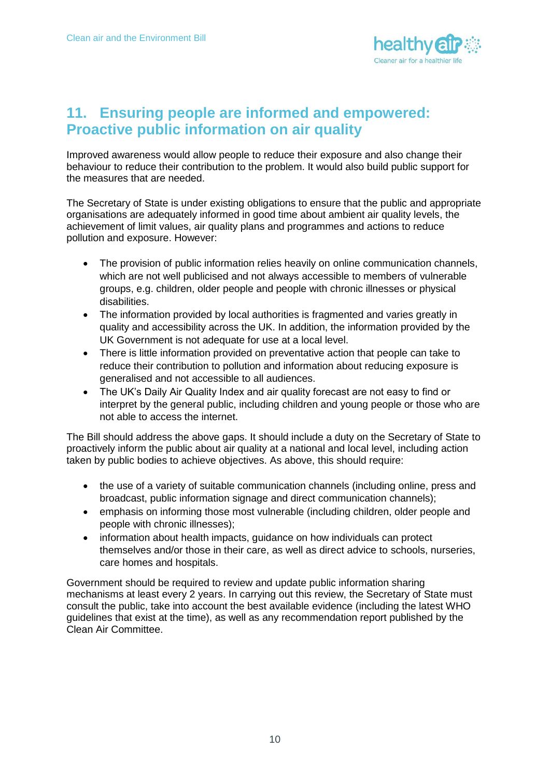

## **11. Ensuring people are informed and empowered: Proactive public information on air quality**

Improved awareness would allow people to reduce their exposure and also change their behaviour to reduce their contribution to the problem. It would also build public support for the measures that are needed.

The Secretary of State is under existing obligations to ensure that the public and appropriate organisations are adequately informed in good time about ambient air quality levels, the achievement of limit values, air quality plans and programmes and actions to reduce pollution and exposure. However:

- The provision of public information relies heavily on online communication channels, which are not well publicised and not always accessible to members of vulnerable groups, e.g. children, older people and people with chronic illnesses or physical disabilities.
- The information provided by local authorities is fragmented and varies greatly in quality and accessibility across the UK. In addition, the information provided by the UK Government is not adequate for use at a local level.
- There is little information provided on preventative action that people can take to reduce their contribution to pollution and information about reducing exposure is generalised and not accessible to all audiences.
- The UK's Daily Air Quality Index and air quality forecast are not easy to find or interpret by the general public, including children and young people or those who are not able to access the internet.

The Bill should address the above gaps. It should include a duty on the Secretary of State to proactively inform the public about air quality at a national and local level, including action taken by public bodies to achieve objectives. As above, this should require:

- the use of a variety of suitable communication channels (including online, press and broadcast, public information signage and direct communication channels);
- emphasis on informing those most vulnerable (including children, older people and people with chronic illnesses);
- information about health impacts, guidance on how individuals can protect themselves and/or those in their care, as well as direct advice to schools, nurseries, care homes and hospitals.

Government should be required to review and update public information sharing mechanisms at least every 2 years. In carrying out this review, the Secretary of State must consult the public, take into account the best available evidence (including the latest WHO guidelines that exist at the time), as well as any recommendation report published by the Clean Air Committee.